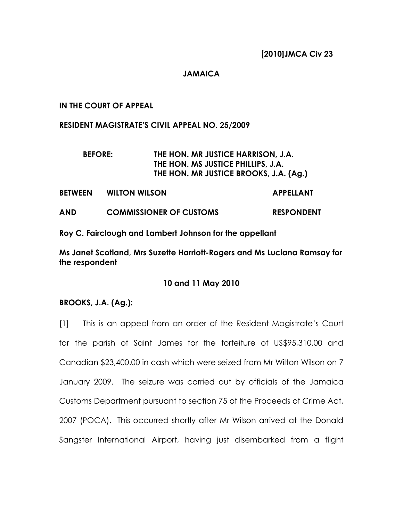## JAMAICA

## IN THE COURT OF APPEAL

#### RESIDENT MAGISTRATE'S CIVIL APPEAL NO. 25/2009

# BEFORE: THE HON. MR JUSTICE HARRISON, J.A. THE HON. MS JUSTICE PHILLIPS, J.A. THE HON. MR JUSTICE BROOKS, J.A. (Ag.)

- BETWEEN WILTON WILSON **APPELLANT**
- AND COMMISSIONER OF CUSTOMS RESPONDENT
- Roy C. Fairclough and Lambert Johnson for the appellant

Ms Janet Scotland, Mrs Suzette Harriott-Rogers and Ms Luciana Ramsay for the respondent

## 10 and 11 May 2010

## BROOKS, J.A. (Ag.):

[1] This is an appeal from an order of the Resident Magistrate's Court for the parish of Saint James for the forfeiture of US\$95,310.00 and Canadian \$23,400.00 in cash which were seized from Mr Wilton Wilson on 7 January 2009. The seizure was carried out by officials of the Jamaica Customs Department pursuant to section 75 of the Proceeds of Crime Act, 2007 (POCA). This occurred shortly after Mr Wilson arrived at the Donald Sangster International Airport, having just disembarked from a flight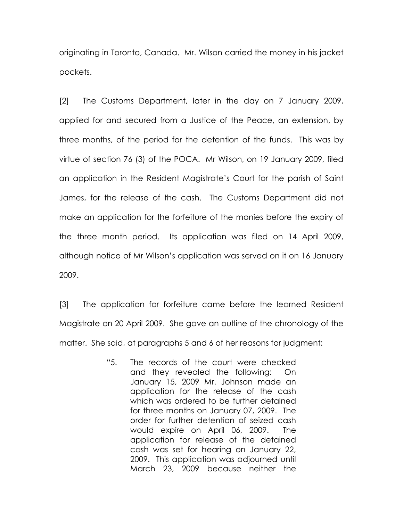originating in Toronto, Canada. Mr. Wilson carried the money in his jacket pockets.

[2] The Customs Department, later in the day on 7 January 2009, applied for and secured from a Justice of the Peace, an extension, by three months, of the period for the detention of the funds. This was by virtue of section 76 (3) of the POCA. Mr Wilson, on 19 January 2009, filed an application in the Resident Magistrate's Court for the parish of Saint James, for the release of the cash. The Customs Department did not make an application for the forfeiture of the monies before the expiry of the three month period. Its application was filed on 14 April 2009, although notice of Mr Wilson's application was served on it on 16 January 2009.

[3] The application for forfeiture came before the learned Resident Magistrate on 20 April 2009. She gave an outline of the chronology of the matter. She said, at paragraphs 5 and 6 of her reasons for judgment:

> "5. The records of the court were checked and they revealed the following: On January 15, 2009 Mr. Johnson made an application for the release of the cash which was ordered to be further detained for three months on January 07, 2009. The order for further detention of seized cash would expire on April 06, 2009. The application for release of the detained cash was set for hearing on January 22, 2009. This application was adjourned until March 23, 2009 because neither the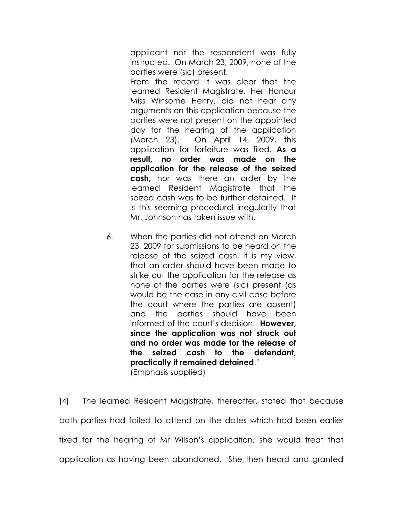applicant nor the respondent was fully instructed. On March 23, 2009, none of the parties were (sic) present.

From the record it was clear that the learned Resident Magistrate, Her Honour Miss Winsome Henry, did not hear any arguments on this application because the parties were not present on the appointed day for the hearing of the application (March 23). On April 14, 2009, this application for forfeiture was filed. As a result, no order was made on the application for the release of the seized cash, nor was there an order by the learned Resident Magistrate that the seized cash was to be further detained. It is this seeming procedural irregularity that Mr. Johnson has taken issue with.

6. When the parties did not attend on March 23, 2009 for submissions to be heard on the release of the seized cash, it is my view, that an order should have been made to strike out the application for the release as none of the parties were (sic) present (as would be the case in any civil case before the court where the parties are absent) and the parties should have been informed of the court's decision. **However**, since the application was not struck out and no order was made for the release of the seized cash to the defendant, practically it remained detained." (Emphasis supplied)

[4] The learned Resident Magistrate, thereafter, stated that because both parties had failed to attend on the dates which had been earlier fixed for the hearing of Mr Wilson's application, she would treat that application as having been abandoned. She then heard and granted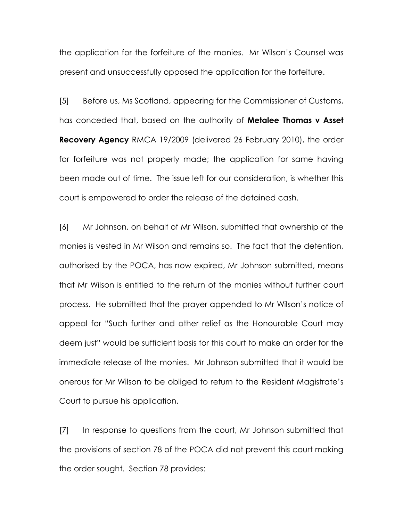the application for the forfeiture of the monies. Mr Wilson's Counsel was present and unsuccessfully opposed the application for the forfeiture.

[5] Before us, Ms Scotland, appearing for the Commissioner of Customs, has conceded that, based on the authority of Metalee Thomas v Asset Recovery Agency RMCA 19/2009 (delivered 26 February 2010), the order for forfeiture was not properly made; the application for same having been made out of time. The issue left for our consideration, is whether this court is empowered to order the release of the detained cash.

[6] Mr Johnson, on behalf of Mr Wilson, submitted that ownership of the monies is vested in Mr Wilson and remains so. The fact that the detention, authorised by the POCA, has now expired, Mr Johnson submitted, means that Mr Wilson is entitled to the return of the monies without further court process. He submitted that the prayer appended to Mr Wilson's notice of appeal for "Such further and other relief as the Honourable Court may deem just" would be sufficient basis for this court to make an order for the immediate release of the monies. Mr Johnson submitted that it would be onerous for Mr Wilson to be obliged to return to the Resident Magistrate's Court to pursue his application.

[7] In response to questions from the court, Mr Johnson submitted that the provisions of section 78 of the POCA did not prevent this court making the order sought. Section 78 provides: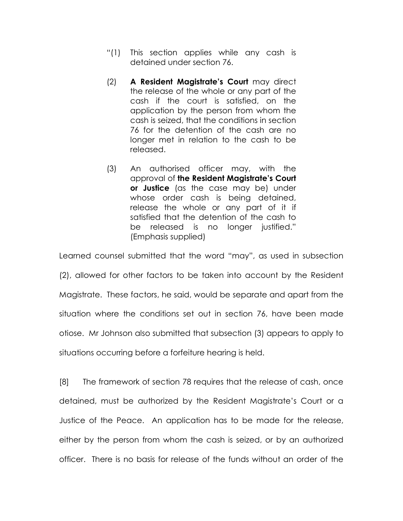- "(1) This section applies while any cash is detained under section 76.
- (2) A Resident Magistrate's Court may direct the release of the whole or any part of the cash if the court is satisfied, on the application by the person from whom the cash is seized, that the conditions in section 76 for the detention of the cash are no longer met in relation to the cash to be released.
- (3) An authorised officer may, with the approval of the Resident Magistrate's Court or Justice (as the case may be) under whose order cash is being detained, release the whole or any part of it if satisfied that the detention of the cash to be released is no longer justified." (Emphasis supplied)

Learned counsel submitted that the word "may", as used in subsection

(2), allowed for other factors to be taken into account by the Resident Magistrate. These factors, he said, would be separate and apart from the situation where the conditions set out in section 76, have been made otiose. Mr Johnson also submitted that subsection (3) appears to apply to situations occurring before a forfeiture hearing is held.

[8] The framework of section 78 requires that the release of cash, once detained, must be authorized by the Resident Magistrate's Court or a Justice of the Peace. An application has to be made for the release, either by the person from whom the cash is seized, or by an authorized officer. There is no basis for release of the funds without an order of the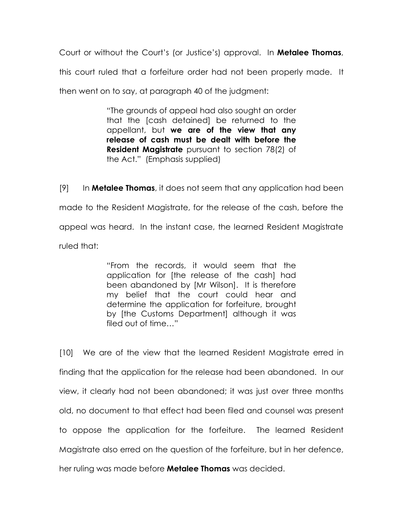Court or without the Court's (or Justice's) approval. In **Metalee Thomas**, this court ruled that a forfeiture order had not been properly made. It then went on to say, at paragraph 40 of the judgment:

> "The grounds of appeal had also sought an order that the [cash detained] be returned to the appellant, but we are of the view that any release of cash must be dealt with before the Resident Magistrate pursuant to section 78(2) of the Act." (Emphasis supplied)

 $[9]$  In **Metalee Thomas**, it does not seem that any application had been made to the Resident Magistrate, for the release of the cash, before the appeal was heard. In the instant case, the learned Resident Magistrate ruled that:

> "From the records, it would seem that the application for [the release of the cash] had been abandoned by [Mr Wilson]. It is therefore my belief that the court could hear and determine the application for forfeiture, brought by [the Customs Department] although it was filed out of time…"

[10] We are of the view that the learned Resident Magistrate erred in finding that the application for the release had been abandoned. In our view, it clearly had not been abandoned; it was just over three months old, no document to that effect had been filed and counsel was present to oppose the application for the forfeiture. The learned Resident Magistrate also erred on the question of the forfeiture, but in her defence, her ruling was made before **Metalee Thomas** was decided.